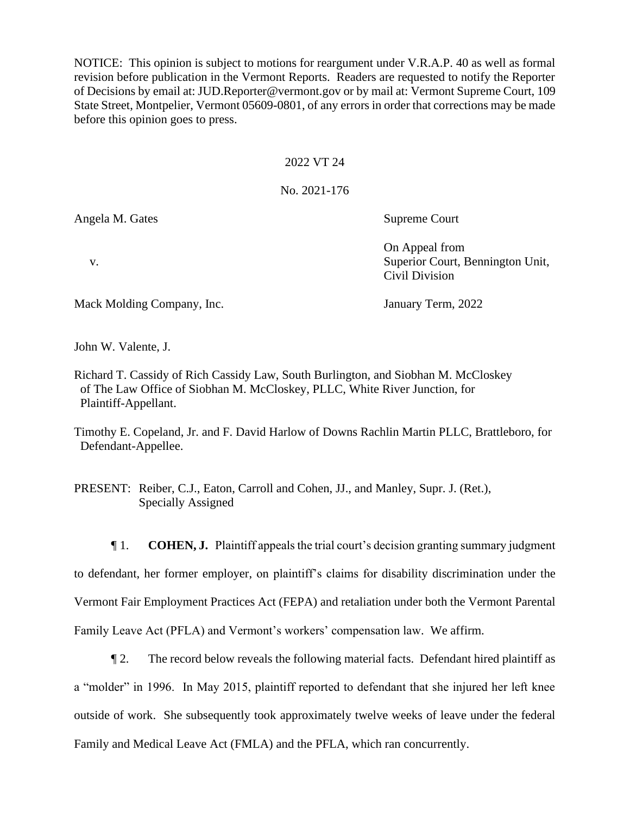NOTICE: This opinion is subject to motions for reargument under V.R.A.P. 40 as well as formal revision before publication in the Vermont Reports. Readers are requested to notify the Reporter of Decisions by email at: JUD.Reporter@vermont.gov or by mail at: Vermont Supreme Court, 109 State Street, Montpelier, Vermont 05609-0801, of any errors in order that corrections may be made before this opinion goes to press.

# 2022 VT 24

# No. 2021-176

Angela M. Gates Supreme Court

On Appeal from v. Superior Court, Bennington Unit, Civil Division

Mack Molding Company, Inc. January Term, 2022

John W. Valente, J.

Richard T. Cassidy of Rich Cassidy Law, South Burlington, and Siobhan M. McCloskey of The Law Office of Siobhan M. McCloskey, PLLC, White River Junction, for Plaintiff-Appellant.

Timothy E. Copeland, Jr. and F. David Harlow of Downs Rachlin Martin PLLC, Brattleboro, for Defendant-Appellee.

PRESENT: Reiber, C.J., Eaton, Carroll and Cohen, JJ., and Manley, Supr. J. (Ret.), Specially Assigned

¶ 1. **COHEN, J.** Plaintiff appeals the trial court's decision granting summary judgment to defendant, her former employer, on plaintiff's claims for disability discrimination under the Vermont Fair Employment Practices Act (FEPA) and retaliation under both the Vermont Parental Family Leave Act (PFLA) and Vermont's workers' compensation law. We affirm.

¶ 2. The record below reveals the following material facts. Defendant hired plaintiff as a "molder" in 1996. In May 2015, plaintiff reported to defendant that she injured her left knee outside of work. She subsequently took approximately twelve weeks of leave under the federal Family and Medical Leave Act (FMLA) and the PFLA, which ran concurrently.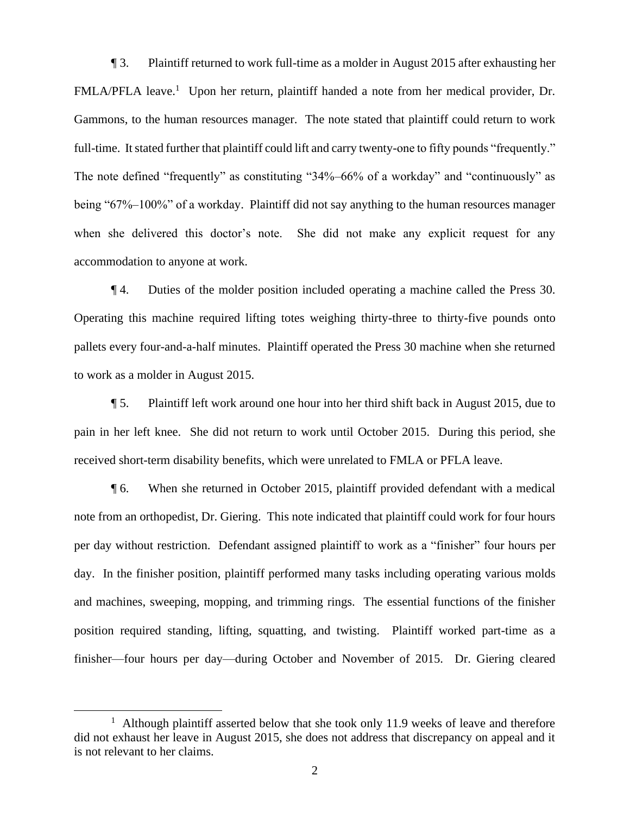¶ 3. Plaintiff returned to work full-time as a molder in August 2015 after exhausting her FMLA/PFLA leave.<sup>1</sup> Upon her return, plaintiff handed a note from her medical provider, Dr. Gammons, to the human resources manager. The note stated that plaintiff could return to work full-time. It stated further that plaintiff could lift and carry twenty-one to fifty pounds "frequently." The note defined "frequently" as constituting "34%–66% of a workday" and "continuously" as being "67%–100%" of a workday. Plaintiff did not say anything to the human resources manager when she delivered this doctor's note. She did not make any explicit request for any accommodation to anyone at work.

¶ 4. Duties of the molder position included operating a machine called the Press 30. Operating this machine required lifting totes weighing thirty-three to thirty-five pounds onto pallets every four-and-a-half minutes. Plaintiff operated the Press 30 machine when she returned to work as a molder in August 2015.

¶ 5. Plaintiff left work around one hour into her third shift back in August 2015, due to pain in her left knee. She did not return to work until October 2015. During this period, she received short-term disability benefits, which were unrelated to FMLA or PFLA leave.

¶ 6. When she returned in October 2015, plaintiff provided defendant with a medical note from an orthopedist, Dr. Giering. This note indicated that plaintiff could work for four hours per day without restriction. Defendant assigned plaintiff to work as a "finisher" four hours per day. In the finisher position, plaintiff performed many tasks including operating various molds and machines, sweeping, mopping, and trimming rings. The essential functions of the finisher position required standing, lifting, squatting, and twisting. Plaintiff worked part-time as a finisher—four hours per day—during October and November of 2015. Dr. Giering cleared

<sup>&</sup>lt;sup>1</sup> Although plaintiff asserted below that she took only 11.9 weeks of leave and therefore did not exhaust her leave in August 2015, she does not address that discrepancy on appeal and it is not relevant to her claims.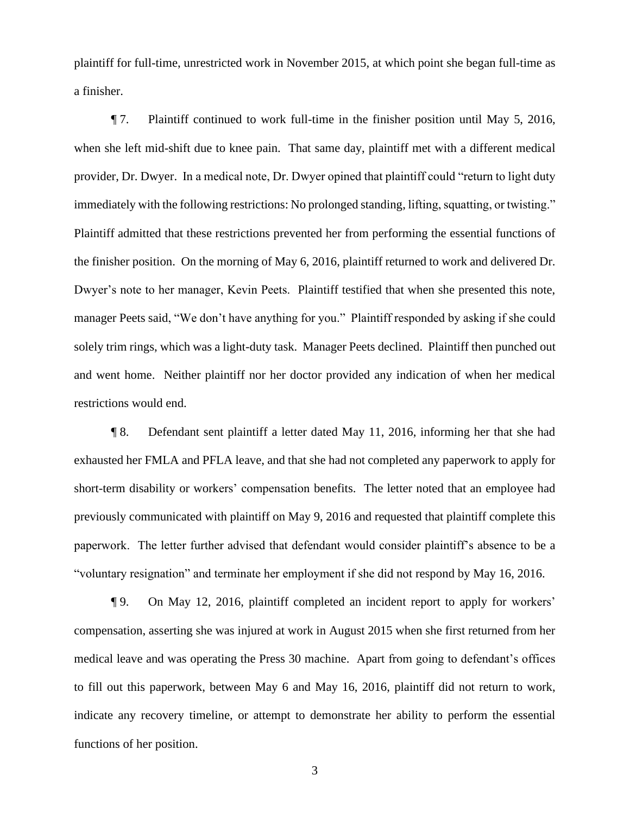plaintiff for full-time, unrestricted work in November 2015, at which point she began full-time as a finisher.

¶ 7. Plaintiff continued to work full-time in the finisher position until May 5, 2016, when she left mid-shift due to knee pain. That same day, plaintiff met with a different medical provider, Dr. Dwyer. In a medical note, Dr. Dwyer opined that plaintiff could "return to light duty immediately with the following restrictions: No prolonged standing, lifting, squatting, or twisting." Plaintiff admitted that these restrictions prevented her from performing the essential functions of the finisher position. On the morning of May 6, 2016, plaintiff returned to work and delivered Dr. Dwyer's note to her manager, Kevin Peets. Plaintiff testified that when she presented this note, manager Peets said, "We don't have anything for you." Plaintiff responded by asking if she could solely trim rings, which was a light-duty task. Manager Peets declined. Plaintiff then punched out and went home. Neither plaintiff nor her doctor provided any indication of when her medical restrictions would end.

¶ 8. Defendant sent plaintiff a letter dated May 11, 2016, informing her that she had exhausted her FMLA and PFLA leave, and that she had not completed any paperwork to apply for short-term disability or workers' compensation benefits. The letter noted that an employee had previously communicated with plaintiff on May 9, 2016 and requested that plaintiff complete this paperwork. The letter further advised that defendant would consider plaintiff's absence to be a "voluntary resignation" and terminate her employment if she did not respond by May 16, 2016.

¶ 9. On May 12, 2016, plaintiff completed an incident report to apply for workers' compensation, asserting she was injured at work in August 2015 when she first returned from her medical leave and was operating the Press 30 machine. Apart from going to defendant's offices to fill out this paperwork, between May 6 and May 16, 2016, plaintiff did not return to work, indicate any recovery timeline, or attempt to demonstrate her ability to perform the essential functions of her position.

3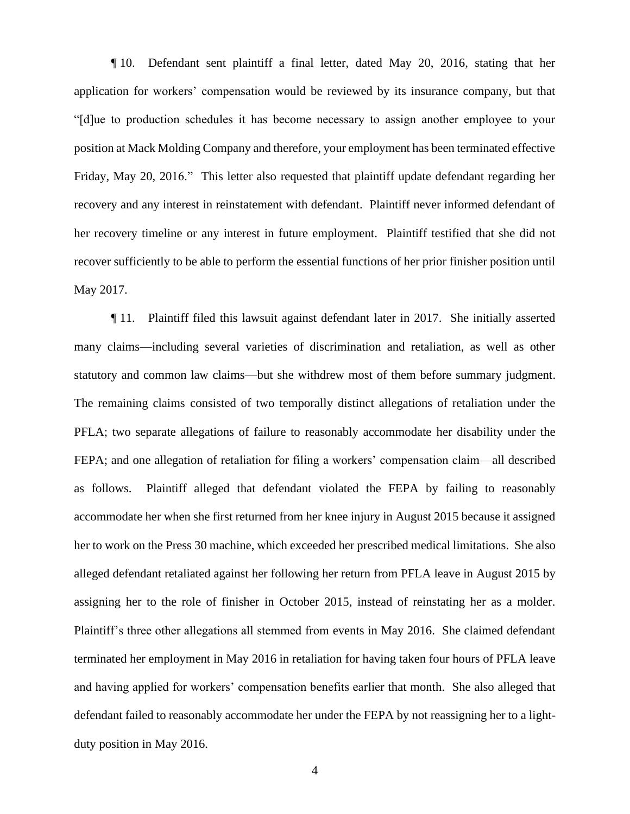¶ 10. Defendant sent plaintiff a final letter, dated May 20, 2016, stating that her application for workers' compensation would be reviewed by its insurance company, but that "[d]ue to production schedules it has become necessary to assign another employee to your position at Mack Molding Company and therefore, your employment has been terminated effective Friday, May 20, 2016." This letter also requested that plaintiff update defendant regarding her recovery and any interest in reinstatement with defendant. Plaintiff never informed defendant of her recovery timeline or any interest in future employment. Plaintiff testified that she did not recover sufficiently to be able to perform the essential functions of her prior finisher position until May 2017.

¶ 11. Plaintiff filed this lawsuit against defendant later in 2017. She initially asserted many claims—including several varieties of discrimination and retaliation, as well as other statutory and common law claims—but she withdrew most of them before summary judgment. The remaining claims consisted of two temporally distinct allegations of retaliation under the PFLA; two separate allegations of failure to reasonably accommodate her disability under the FEPA; and one allegation of retaliation for filing a workers' compensation claim—all described as follows. Plaintiff alleged that defendant violated the FEPA by failing to reasonably accommodate her when she first returned from her knee injury in August 2015 because it assigned her to work on the Press 30 machine, which exceeded her prescribed medical limitations. She also alleged defendant retaliated against her following her return from PFLA leave in August 2015 by assigning her to the role of finisher in October 2015, instead of reinstating her as a molder. Plaintiff's three other allegations all stemmed from events in May 2016. She claimed defendant terminated her employment in May 2016 in retaliation for having taken four hours of PFLA leave and having applied for workers' compensation benefits earlier that month. She also alleged that defendant failed to reasonably accommodate her under the FEPA by not reassigning her to a lightduty position in May 2016.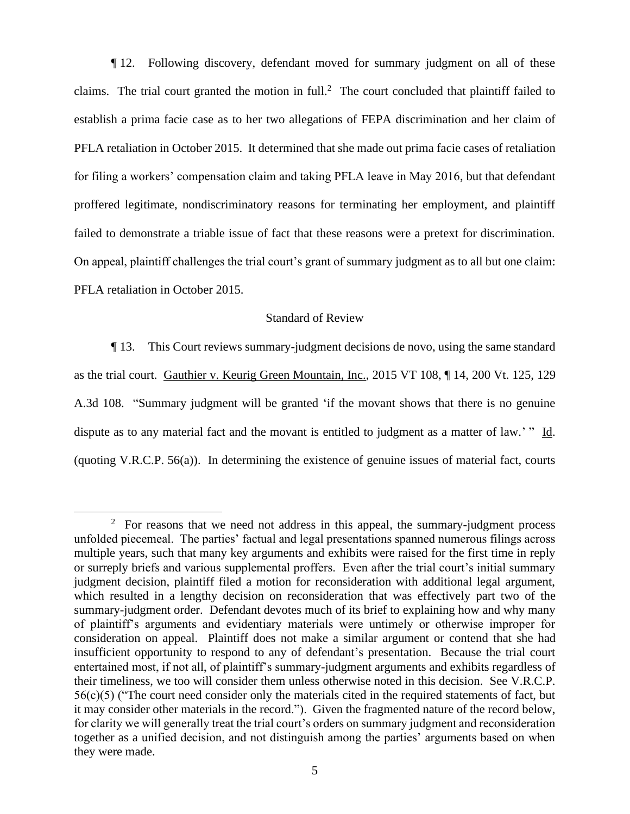¶ 12. Following discovery, defendant moved for summary judgment on all of these claims. The trial court granted the motion in full.<sup>2</sup> The court concluded that plaintiff failed to establish a prima facie case as to her two allegations of FEPA discrimination and her claim of PFLA retaliation in October 2015. It determined that she made out prima facie cases of retaliation for filing a workers' compensation claim and taking PFLA leave in May 2016, but that defendant proffered legitimate, nondiscriminatory reasons for terminating her employment, and plaintiff failed to demonstrate a triable issue of fact that these reasons were a pretext for discrimination. On appeal, plaintiff challenges the trial court's grant of summary judgment as to all but one claim: PFLA retaliation in October 2015.

# Standard of Review

¶ 13. This Court reviews summary-judgment decisions de novo, using the same standard as the trial court. Gauthier v. Keurig Green Mountain, Inc., 2015 VT 108, ¶ 14, 200 Vt. 125, 129 A.3d 108. "Summary judgment will be granted 'if the movant shows that there is no genuine dispute as to any material fact and the movant is entitled to judgment as a matter of law.' " Id. (quoting V.R.C.P. 56(a)). In determining the existence of genuine issues of material fact, courts

 $2^{\circ}$  For reasons that we need not address in this appeal, the summary-judgment process unfolded piecemeal. The parties' factual and legal presentations spanned numerous filings across multiple years, such that many key arguments and exhibits were raised for the first time in reply or surreply briefs and various supplemental proffers. Even after the trial court's initial summary judgment decision, plaintiff filed a motion for reconsideration with additional legal argument, which resulted in a lengthy decision on reconsideration that was effectively part two of the summary-judgment order. Defendant devotes much of its brief to explaining how and why many of plaintiff's arguments and evidentiary materials were untimely or otherwise improper for consideration on appeal. Plaintiff does not make a similar argument or contend that she had insufficient opportunity to respond to any of defendant's presentation. Because the trial court entertained most, if not all, of plaintiff's summary-judgment arguments and exhibits regardless of their timeliness, we too will consider them unless otherwise noted in this decision. See V.R.C.P. 56(c)(5) ("The court need consider only the materials cited in the required statements of fact, but it may consider other materials in the record."). Given the fragmented nature of the record below, for clarity we will generally treat the trial court's orders on summary judgment and reconsideration together as a unified decision, and not distinguish among the parties' arguments based on when they were made.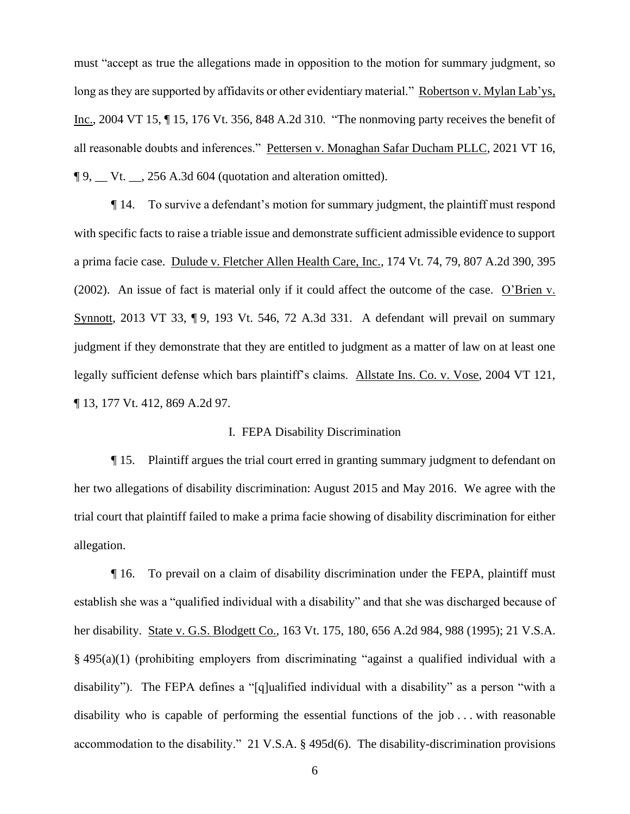must "accept as true the allegations made in opposition to the motion for summary judgment, so long as they are supported by affidavits or other evidentiary material." Robertson v. Mylan Lab'ys, Inc., 2004 VT 15, ¶ 15, 176 Vt. 356, 848 A.2d 310. "The nonmoving party receives the benefit of all reasonable doubts and inferences." Pettersen v. Monaghan Safar Ducham PLLC, 2021 VT 16, ¶ 9, \_\_ Vt. \_\_, 256 A.3d 604 (quotation and alteration omitted).

¶ 14. To survive a defendant's motion for summary judgment, the plaintiff must respond with specific facts to raise a triable issue and demonstrate sufficient admissible evidence to support a prima facie case. Dulude v. Fletcher Allen Health Care, Inc., 174 Vt. 74, 79, 807 A.2d 390, 395 (2002). An issue of fact is material only if it could affect the outcome of the case. O'Brien v. Synnott, 2013 VT 33, ¶ 9, 193 Vt. 546, 72 A.3d 331. A defendant will prevail on summary judgment if they demonstrate that they are entitled to judgment as a matter of law on at least one legally sufficient defense which bars plaintiff's claims. Allstate Ins. Co. v. Vose, 2004 VT 121, ¶ 13, 177 Vt. 412, 869 A.2d 97.

### I. FEPA Disability Discrimination

¶ 15. Plaintiff argues the trial court erred in granting summary judgment to defendant on her two allegations of disability discrimination: August 2015 and May 2016. We agree with the trial court that plaintiff failed to make a prima facie showing of disability discrimination for either allegation.

¶ 16. To prevail on a claim of disability discrimination under the FEPA, plaintiff must establish she was a "qualified individual with a disability" and that she was discharged because of her disability. State v. G.S. Blodgett Co., 163 Vt. 175, 180, 656 A.2d 984, 988 (1995); 21 V.S.A. § 495(a)(1) (prohibiting employers from discriminating "against a qualified individual with a disability"). The FEPA defines a "[q]ualified individual with a disability" as a person "with a disability who is capable of performing the essential functions of the job . . . with reasonable accommodation to the disability." 21 V.S.A. § 495d(6). The disability-discrimination provisions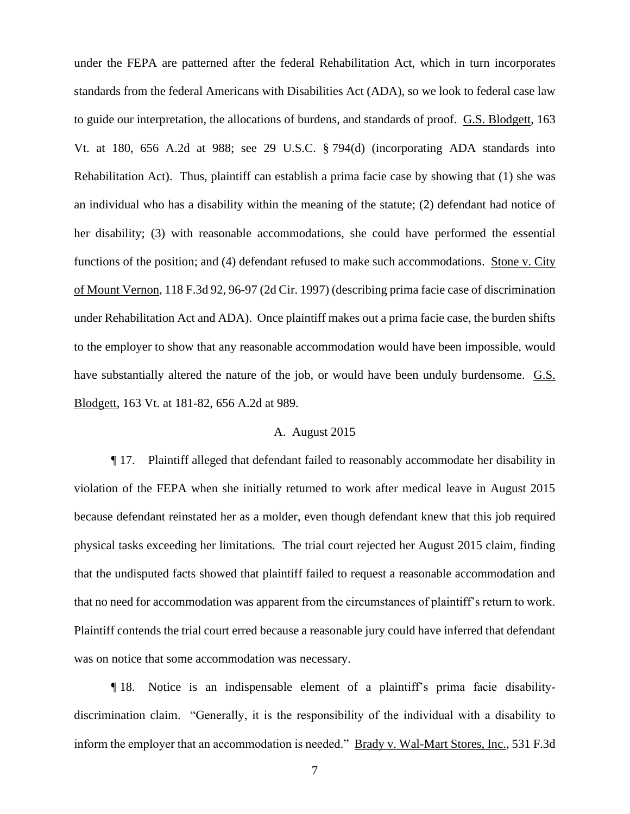under the FEPA are patterned after the federal Rehabilitation Act, which in turn incorporates standards from the federal Americans with Disabilities Act (ADA), so we look to federal case law to guide our interpretation, the allocations of burdens, and standards of proof. G.S. Blodgett, 163 Vt. at 180, 656 A.2d at 988; see 29 U.S.C. § 794(d) (incorporating ADA standards into Rehabilitation Act). Thus, plaintiff can establish a prima facie case by showing that (1) she was an individual who has a disability within the meaning of the statute; (2) defendant had notice of her disability; (3) with reasonable accommodations, she could have performed the essential functions of the position; and (4) defendant refused to make such accommodations. Stone v. City of Mount Vernon, 118 F.3d 92, 96-97 (2d Cir. 1997) (describing prima facie case of discrimination under Rehabilitation Act and ADA). Once plaintiff makes out a prima facie case, the burden shifts to the employer to show that any reasonable accommodation would have been impossible, would have substantially altered the nature of the job, or would have been unduly burdensome. G.S. Blodgett, 163 Vt. at 181-82, 656 A.2d at 989.

### A. August 2015

¶ 17. Plaintiff alleged that defendant failed to reasonably accommodate her disability in violation of the FEPA when she initially returned to work after medical leave in August 2015 because defendant reinstated her as a molder, even though defendant knew that this job required physical tasks exceeding her limitations. The trial court rejected her August 2015 claim, finding that the undisputed facts showed that plaintiff failed to request a reasonable accommodation and that no need for accommodation was apparent from the circumstances of plaintiff's return to work. Plaintiff contends the trial court erred because a reasonable jury could have inferred that defendant was on notice that some accommodation was necessary.

¶ 18. Notice is an indispensable element of a plaintiff's prima facie disabilitydiscrimination claim. "Generally, it is the responsibility of the individual with a disability to inform the employer that an accommodation is needed." Brady v. Wal-Mart Stores, Inc., 531 F.3d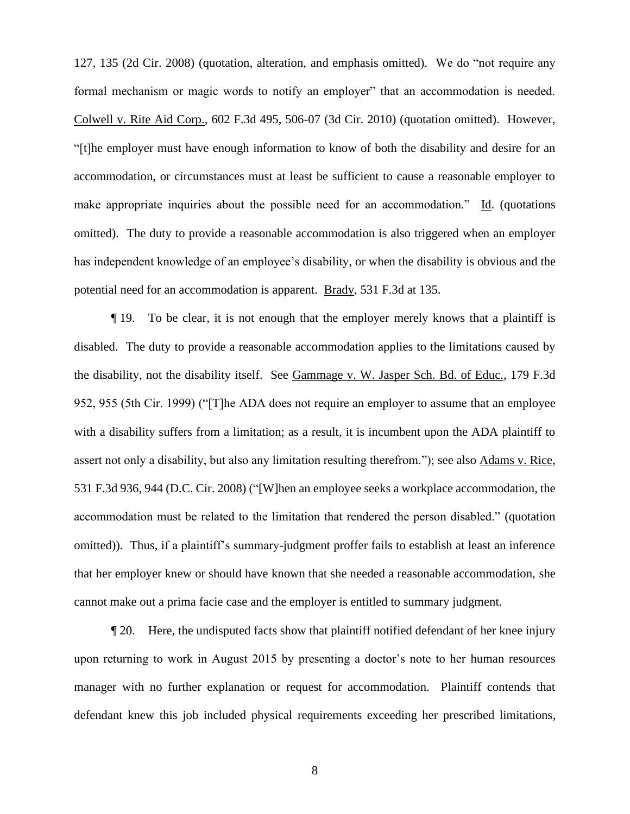127, 135 (2d Cir. 2008) (quotation, alteration, and emphasis omitted). We do "not require any formal mechanism or magic words to notify an employer" that an accommodation is needed. Colwell v. Rite Aid Corp., 602 F.3d 495, 506-07 (3d Cir. 2010) (quotation omitted). However, "[t]he employer must have enough information to know of both the disability and desire for an accommodation, or circumstances must at least be sufficient to cause a reasonable employer to make appropriate inquiries about the possible need for an accommodation." Id. (quotations omitted). The duty to provide a reasonable accommodation is also triggered when an employer has independent knowledge of an employee's disability, or when the disability is obvious and the potential need for an accommodation is apparent. Brady, 531 F.3d at 135.

¶ 19. To be clear, it is not enough that the employer merely knows that a plaintiff is disabled. The duty to provide a reasonable accommodation applies to the limitations caused by the disability, not the disability itself. See Gammage v. W. Jasper Sch. Bd. of Educ., 179 F.3d 952, 955 (5th Cir. 1999) ("[T]he ADA does not require an employer to assume that an employee with a disability suffers from a limitation; as a result, it is incumbent upon the ADA plaintiff to assert not only a disability, but also any limitation resulting therefrom."); see also Adams v. Rice, 531 F.3d 936, 944 (D.C. Cir. 2008) ("[W]hen an employee seeks a workplace accommodation, the accommodation must be related to the limitation that rendered the person disabled." (quotation omitted)). Thus, if a plaintiff's summary-judgment proffer fails to establish at least an inference that her employer knew or should have known that she needed a reasonable accommodation, she cannot make out a prima facie case and the employer is entitled to summary judgment.

¶ 20. Here, the undisputed facts show that plaintiff notified defendant of her knee injury upon returning to work in August 2015 by presenting a doctor's note to her human resources manager with no further explanation or request for accommodation. Plaintiff contends that defendant knew this job included physical requirements exceeding her prescribed limitations,

8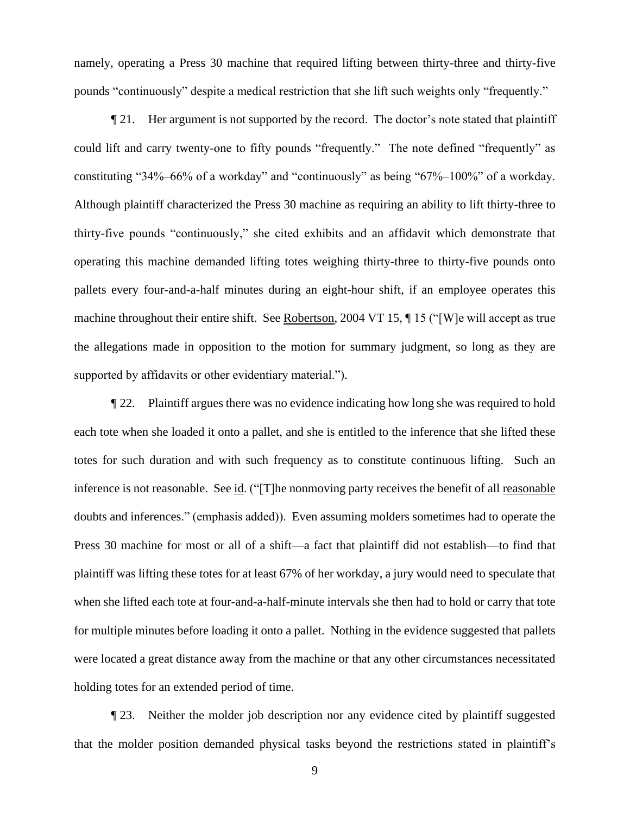namely, operating a Press 30 machine that required lifting between thirty-three and thirty-five pounds "continuously" despite a medical restriction that she lift such weights only "frequently."

¶ 21. Her argument is not supported by the record. The doctor's note stated that plaintiff could lift and carry twenty-one to fifty pounds "frequently." The note defined "frequently" as constituting "34%–66% of a workday" and "continuously" as being "67%–100%" of a workday. Although plaintiff characterized the Press 30 machine as requiring an ability to lift thirty-three to thirty-five pounds "continuously," she cited exhibits and an affidavit which demonstrate that operating this machine demanded lifting totes weighing thirty-three to thirty-five pounds onto pallets every four-and-a-half minutes during an eight-hour shift, if an employee operates this machine throughout their entire shift. See Robertson, 2004 VT 15, ¶ 15 ("[W]e will accept as true the allegations made in opposition to the motion for summary judgment, so long as they are supported by affidavits or other evidentiary material.").

¶ 22. Plaintiff argues there was no evidence indicating how long she was required to hold each tote when she loaded it onto a pallet, and she is entitled to the inference that she lifted these totes for such duration and with such frequency as to constitute continuous lifting. Such an inference is not reasonable. See id. ("[T]he nonmoving party receives the benefit of all reasonable doubts and inferences." (emphasis added)). Even assuming molders sometimes had to operate the Press 30 machine for most or all of a shift—a fact that plaintiff did not establish—to find that plaintiff was lifting these totes for at least 67% of her workday, a jury would need to speculate that when she lifted each tote at four-and-a-half-minute intervals she then had to hold or carry that tote for multiple minutes before loading it onto a pallet. Nothing in the evidence suggested that pallets were located a great distance away from the machine or that any other circumstances necessitated holding totes for an extended period of time.

¶ 23. Neither the molder job description nor any evidence cited by plaintiff suggested that the molder position demanded physical tasks beyond the restrictions stated in plaintiff's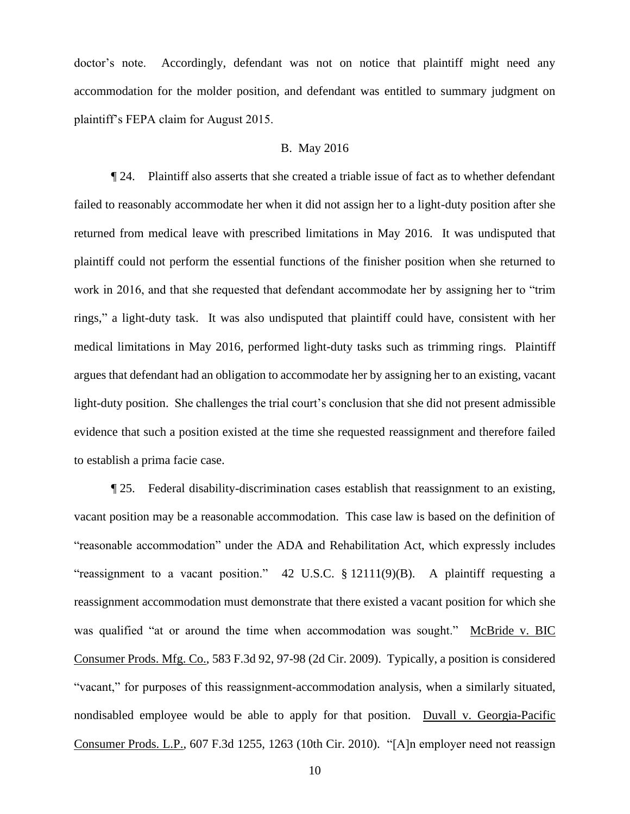doctor's note. Accordingly, defendant was not on notice that plaintiff might need any accommodation for the molder position, and defendant was entitled to summary judgment on plaintiff's FEPA claim for August 2015.

#### B. May 2016

¶ 24. Plaintiff also asserts that she created a triable issue of fact as to whether defendant failed to reasonably accommodate her when it did not assign her to a light-duty position after she returned from medical leave with prescribed limitations in May 2016. It was undisputed that plaintiff could not perform the essential functions of the finisher position when she returned to work in 2016, and that she requested that defendant accommodate her by assigning her to "trim rings," a light-duty task. It was also undisputed that plaintiff could have, consistent with her medical limitations in May 2016, performed light-duty tasks such as trimming rings. Plaintiff argues that defendant had an obligation to accommodate her by assigning her to an existing, vacant light-duty position. She challenges the trial court's conclusion that she did not present admissible evidence that such a position existed at the time she requested reassignment and therefore failed to establish a prima facie case.

¶ 25. Federal disability-discrimination cases establish that reassignment to an existing, vacant position may be a reasonable accommodation. This case law is based on the definition of "reasonable accommodation" under the ADA and Rehabilitation Act, which expressly includes "reassignment to a vacant position." 42 U.S.C. § 12111(9)(B). A plaintiff requesting a reassignment accommodation must demonstrate that there existed a vacant position for which she was qualified "at or around the time when accommodation was sought." McBride v. BIC Consumer Prods. Mfg. Co., 583 F.3d 92, 97-98 (2d Cir. 2009). Typically, a position is considered "vacant," for purposes of this reassignment-accommodation analysis, when a similarly situated, nondisabled employee would be able to apply for that position. Duvall v. Georgia-Pacific Consumer Prods. L.P., 607 F.3d 1255, 1263 (10th Cir. 2010). "[A]n employer need not reassign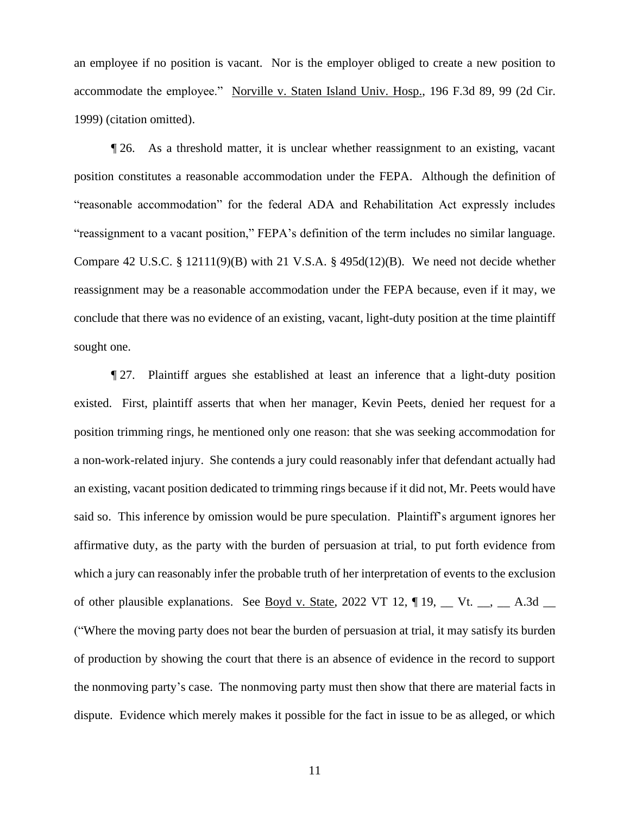an employee if no position is vacant. Nor is the employer obliged to create a new position to accommodate the employee." Norville v. Staten Island Univ. Hosp., 196 F.3d 89, 99 (2d Cir. 1999) (citation omitted).

¶ 26. As a threshold matter, it is unclear whether reassignment to an existing, vacant position constitutes a reasonable accommodation under the FEPA. Although the definition of "reasonable accommodation" for the federal ADA and Rehabilitation Act expressly includes "reassignment to a vacant position," FEPA's definition of the term includes no similar language. Compare 42 U.S.C. § 12111(9)(B) with 21 V.S.A. § 495d(12)(B). We need not decide whether reassignment may be a reasonable accommodation under the FEPA because, even if it may, we conclude that there was no evidence of an existing, vacant, light-duty position at the time plaintiff sought one.

¶ 27. Plaintiff argues she established at least an inference that a light-duty position existed. First, plaintiff asserts that when her manager, Kevin Peets, denied her request for a position trimming rings, he mentioned only one reason: that she was seeking accommodation for a non-work-related injury. She contends a jury could reasonably infer that defendant actually had an existing, vacant position dedicated to trimming rings because if it did not, Mr. Peets would have said so. This inference by omission would be pure speculation. Plaintiff's argument ignores her affirmative duty, as the party with the burden of persuasion at trial, to put forth evidence from which a jury can reasonably infer the probable truth of her interpretation of events to the exclusion of other plausible explanations. See <u>Boyd v. State</u>, 2022 VT 12,  $\P$  19,  $\P$  Vt.  $\P$ ,  $\P$  A.3d  $\P$ ("Where the moving party does not bear the burden of persuasion at trial, it may satisfy its burden of production by showing the court that there is an absence of evidence in the record to support the nonmoving party's case. The nonmoving party must then show that there are material facts in dispute. Evidence which merely makes it possible for the fact in issue to be as alleged, or which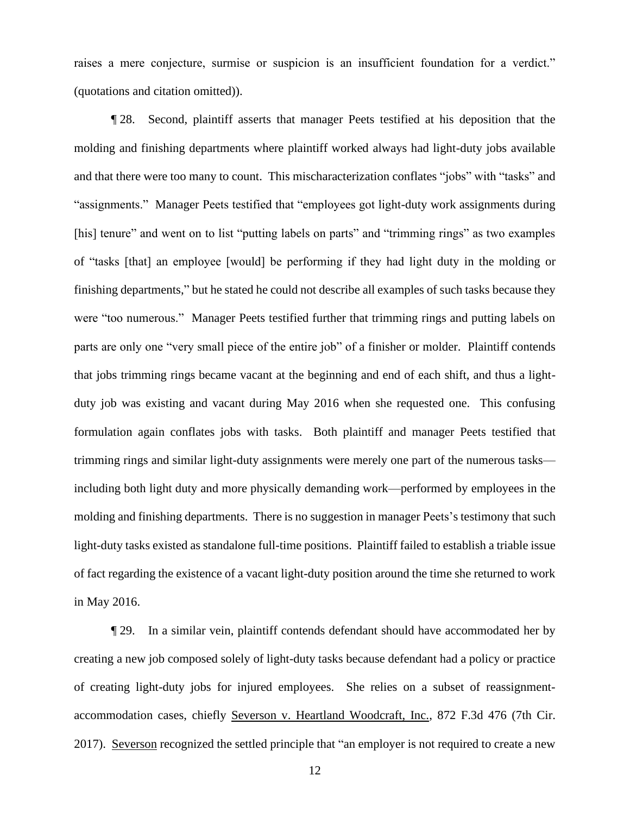raises a mere conjecture, surmise or suspicion is an insufficient foundation for a verdict." (quotations and citation omitted)).

¶ 28. Second, plaintiff asserts that manager Peets testified at his deposition that the molding and finishing departments where plaintiff worked always had light-duty jobs available and that there were too many to count. This mischaracterization conflates "jobs" with "tasks" and "assignments." Manager Peets testified that "employees got light-duty work assignments during [his] tenure" and went on to list "putting labels on parts" and "trimming rings" as two examples of "tasks [that] an employee [would] be performing if they had light duty in the molding or finishing departments," but he stated he could not describe all examples of such tasks because they were "too numerous." Manager Peets testified further that trimming rings and putting labels on parts are only one "very small piece of the entire job" of a finisher or molder. Plaintiff contends that jobs trimming rings became vacant at the beginning and end of each shift, and thus a lightduty job was existing and vacant during May 2016 when she requested one. This confusing formulation again conflates jobs with tasks. Both plaintiff and manager Peets testified that trimming rings and similar light-duty assignments were merely one part of the numerous tasks including both light duty and more physically demanding work—performed by employees in the molding and finishing departments. There is no suggestion in manager Peets's testimony that such light-duty tasks existed as standalone full-time positions. Plaintiff failed to establish a triable issue of fact regarding the existence of a vacant light-duty position around the time she returned to work in May 2016.

¶ 29. In a similar vein, plaintiff contends defendant should have accommodated her by creating a new job composed solely of light-duty tasks because defendant had a policy or practice of creating light-duty jobs for injured employees. She relies on a subset of reassignmentaccommodation cases, chiefly Severson v. Heartland Woodcraft, Inc., 872 F.3d 476 (7th Cir. 2017). Severson recognized the settled principle that "an employer is not required to create a new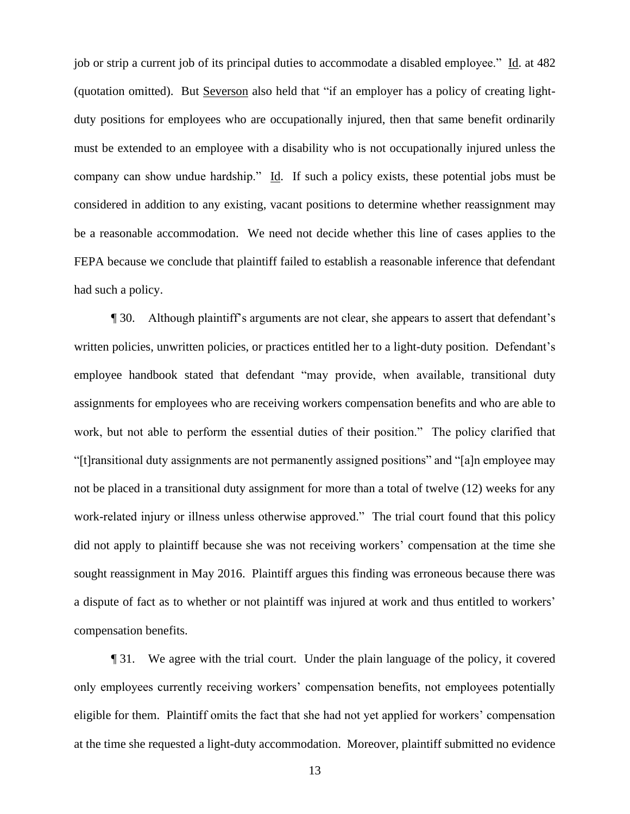job or strip a current job of its principal duties to accommodate a disabled employee." Id. at 482 (quotation omitted). But Severson also held that "if an employer has a policy of creating lightduty positions for employees who are occupationally injured, then that same benefit ordinarily must be extended to an employee with a disability who is not occupationally injured unless the company can show undue hardship." Id. If such a policy exists, these potential jobs must be considered in addition to any existing, vacant positions to determine whether reassignment may be a reasonable accommodation. We need not decide whether this line of cases applies to the FEPA because we conclude that plaintiff failed to establish a reasonable inference that defendant had such a policy.

¶ 30. Although plaintiff's arguments are not clear, she appears to assert that defendant's written policies, unwritten policies, or practices entitled her to a light-duty position. Defendant's employee handbook stated that defendant "may provide, when available, transitional duty assignments for employees who are receiving workers compensation benefits and who are able to work, but not able to perform the essential duties of their position." The policy clarified that "[t]ransitional duty assignments are not permanently assigned positions" and "[a]n employee may not be placed in a transitional duty assignment for more than a total of twelve (12) weeks for any work-related injury or illness unless otherwise approved." The trial court found that this policy did not apply to plaintiff because she was not receiving workers' compensation at the time she sought reassignment in May 2016. Plaintiff argues this finding was erroneous because there was a dispute of fact as to whether or not plaintiff was injured at work and thus entitled to workers' compensation benefits.

¶ 31. We agree with the trial court. Under the plain language of the policy, it covered only employees currently receiving workers' compensation benefits, not employees potentially eligible for them. Plaintiff omits the fact that she had not yet applied for workers' compensation at the time she requested a light-duty accommodation. Moreover, plaintiff submitted no evidence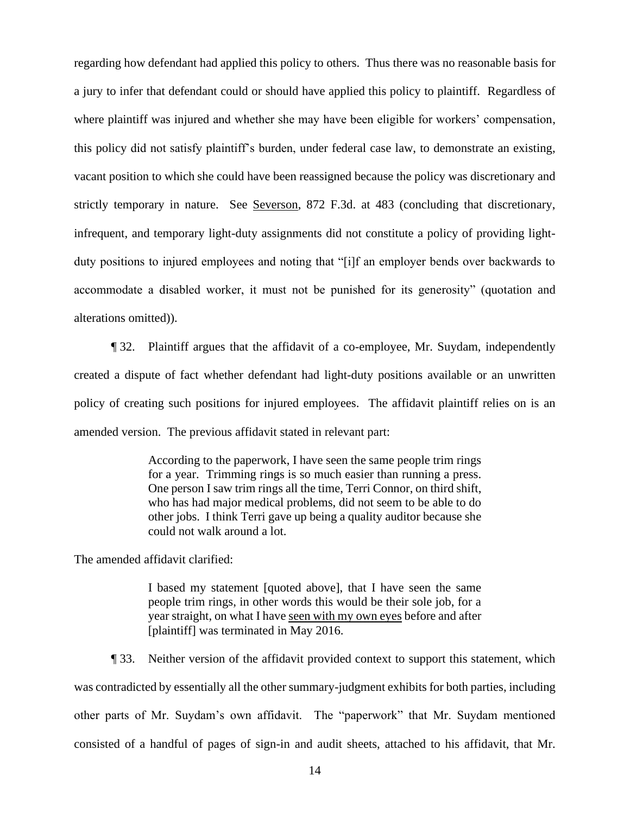regarding how defendant had applied this policy to others. Thus there was no reasonable basis for a jury to infer that defendant could or should have applied this policy to plaintiff. Regardless of where plaintiff was injured and whether she may have been eligible for workers' compensation, this policy did not satisfy plaintiff's burden, under federal case law, to demonstrate an existing, vacant position to which she could have been reassigned because the policy was discretionary and strictly temporary in nature. See Severson, 872 F.3d. at 483 (concluding that discretionary, infrequent, and temporary light-duty assignments did not constitute a policy of providing lightduty positions to injured employees and noting that "[i]f an employer bends over backwards to accommodate a disabled worker, it must not be punished for its generosity" (quotation and alterations omitted)).

¶ 32. Plaintiff argues that the affidavit of a co-employee, Mr. Suydam, independently created a dispute of fact whether defendant had light-duty positions available or an unwritten policy of creating such positions for injured employees. The affidavit plaintiff relies on is an amended version. The previous affidavit stated in relevant part:

> According to the paperwork, I have seen the same people trim rings for a year. Trimming rings is so much easier than running a press. One person I saw trim rings all the time, Terri Connor, on third shift, who has had major medical problems, did not seem to be able to do other jobs. I think Terri gave up being a quality auditor because she could not walk around a lot.

The amended affidavit clarified:

I based my statement [quoted above], that I have seen the same people trim rings, in other words this would be their sole job, for a year straight, on what I have seen with my own eyes before and after [plaintiff] was terminated in May 2016.

¶ 33. Neither version of the affidavit provided context to support this statement, which was contradicted by essentially all the other summary-judgment exhibits for both parties, including other parts of Mr. Suydam's own affidavit. The "paperwork" that Mr. Suydam mentioned consisted of a handful of pages of sign-in and audit sheets, attached to his affidavit, that Mr.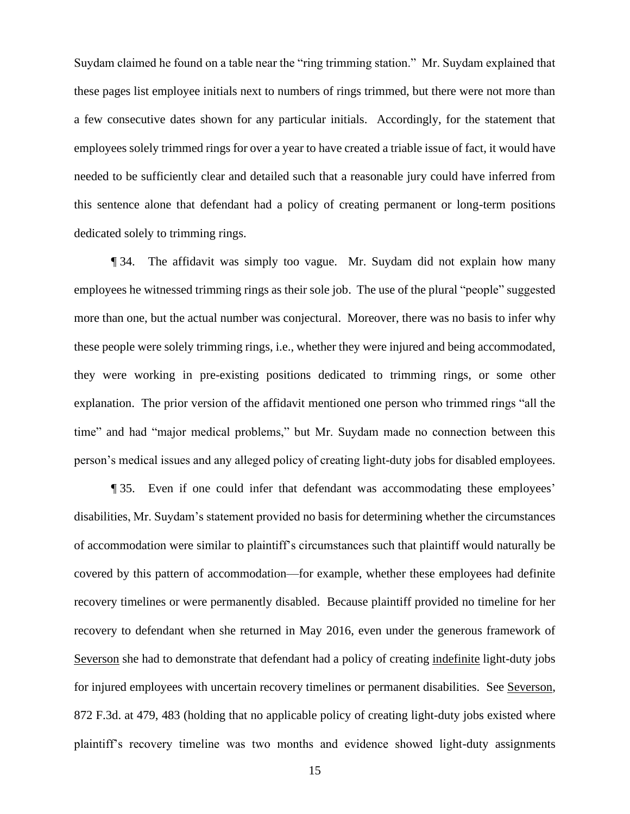Suydam claimed he found on a table near the "ring trimming station." Mr. Suydam explained that these pages list employee initials next to numbers of rings trimmed, but there were not more than a few consecutive dates shown for any particular initials. Accordingly, for the statement that employees solely trimmed rings for over a year to have created a triable issue of fact, it would have needed to be sufficiently clear and detailed such that a reasonable jury could have inferred from this sentence alone that defendant had a policy of creating permanent or long-term positions dedicated solely to trimming rings.

¶ 34. The affidavit was simply too vague. Mr. Suydam did not explain how many employees he witnessed trimming rings as their sole job. The use of the plural "people" suggested more than one, but the actual number was conjectural. Moreover, there was no basis to infer why these people were solely trimming rings, i.e., whether they were injured and being accommodated, they were working in pre-existing positions dedicated to trimming rings, or some other explanation. The prior version of the affidavit mentioned one person who trimmed rings "all the time" and had "major medical problems," but Mr. Suydam made no connection between this person's medical issues and any alleged policy of creating light-duty jobs for disabled employees.

¶ 35. Even if one could infer that defendant was accommodating these employees' disabilities, Mr. Suydam's statement provided no basis for determining whether the circumstances of accommodation were similar to plaintiff's circumstances such that plaintiff would naturally be covered by this pattern of accommodation—for example, whether these employees had definite recovery timelines or were permanently disabled. Because plaintiff provided no timeline for her recovery to defendant when she returned in May 2016, even under the generous framework of Severson she had to demonstrate that defendant had a policy of creating indefinite light-duty jobs for injured employees with uncertain recovery timelines or permanent disabilities. See Severson, 872 F.3d. at 479, 483 (holding that no applicable policy of creating light-duty jobs existed where plaintiff's recovery timeline was two months and evidence showed light-duty assignments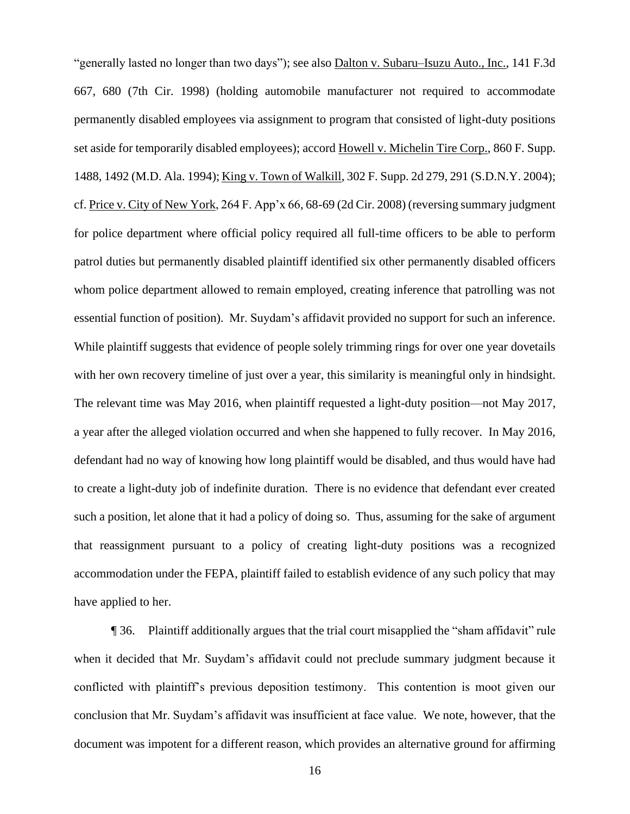"generally lasted no longer than two days"); see also Dalton v. Subaru–Isuzu Auto., Inc., 141 F.3d 667, 680 (7th Cir. 1998) (holding automobile manufacturer not required to accommodate permanently disabled employees via assignment to program that consisted of light-duty positions set aside for temporarily disabled employees); accord Howell v. Michelin Tire Corp., 860 F. Supp. 1488, 1492 (M.D. Ala. 1994); King v. Town of Walkill, 302 F. Supp. 2d 279, 291 (S.D.N.Y. 2004); cf. Price v. City of New York, 264 F. App'x 66, 68-69 (2d Cir. 2008) (reversing summary judgment for police department where official policy required all full-time officers to be able to perform patrol duties but permanently disabled plaintiff identified six other permanently disabled officers whom police department allowed to remain employed, creating inference that patrolling was not essential function of position). Mr. Suydam's affidavit provided no support for such an inference. While plaintiff suggests that evidence of people solely trimming rings for over one year dovetails with her own recovery timeline of just over a year, this similarity is meaningful only in hindsight. The relevant time was May 2016, when plaintiff requested a light-duty position—not May 2017, a year after the alleged violation occurred and when she happened to fully recover. In May 2016, defendant had no way of knowing how long plaintiff would be disabled, and thus would have had to create a light-duty job of indefinite duration. There is no evidence that defendant ever created such a position, let alone that it had a policy of doing so. Thus, assuming for the sake of argument that reassignment pursuant to a policy of creating light-duty positions was a recognized accommodation under the FEPA, plaintiff failed to establish evidence of any such policy that may have applied to her.

¶ 36. Plaintiff additionally argues that the trial court misapplied the "sham affidavit" rule when it decided that Mr. Suydam's affidavit could not preclude summary judgment because it conflicted with plaintiff's previous deposition testimony. This contention is moot given our conclusion that Mr. Suydam's affidavit was insufficient at face value. We note, however, that the document was impotent for a different reason, which provides an alternative ground for affirming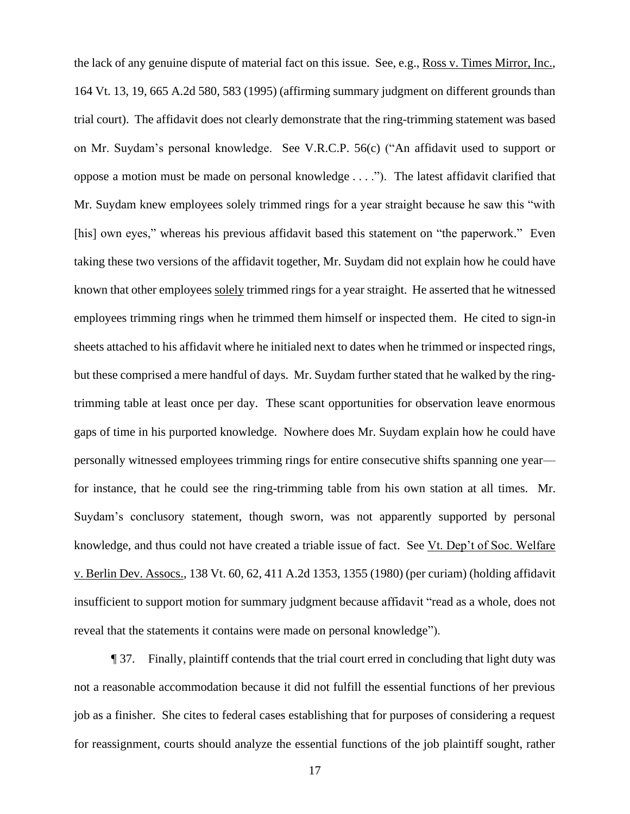the lack of any genuine dispute of material fact on this issue. See, e.g., Ross v. Times Mirror, Inc., 164 Vt. 13, 19, 665 A.2d 580, 583 (1995) (affirming summary judgment on different grounds than trial court). The affidavit does not clearly demonstrate that the ring-trimming statement was based on Mr. Suydam's personal knowledge. See V.R.C.P. 56(c) ("An affidavit used to support or oppose a motion must be made on personal knowledge . . . ."). The latest affidavit clarified that Mr. Suydam knew employees solely trimmed rings for a year straight because he saw this "with [his] own eyes," whereas his previous affidavit based this statement on "the paperwork." Even taking these two versions of the affidavit together, Mr. Suydam did not explain how he could have known that other employees solely trimmed rings for a year straight. He asserted that he witnessed employees trimming rings when he trimmed them himself or inspected them. He cited to sign-in sheets attached to his affidavit where he initialed next to dates when he trimmed or inspected rings, but these comprised a mere handful of days. Mr. Suydam further stated that he walked by the ringtrimming table at least once per day. These scant opportunities for observation leave enormous gaps of time in his purported knowledge. Nowhere does Mr. Suydam explain how he could have personally witnessed employees trimming rings for entire consecutive shifts spanning one year for instance, that he could see the ring-trimming table from his own station at all times. Mr. Suydam's conclusory statement, though sworn, was not apparently supported by personal knowledge, and thus could not have created a triable issue of fact. See Vt. Dep't of Soc. Welfare v. Berlin Dev. Assocs., 138 Vt. 60, 62, 411 A.2d 1353, 1355 (1980) (per curiam) (holding affidavit insufficient to support motion for summary judgment because affidavit "read as a whole, does not reveal that the statements it contains were made on personal knowledge").

¶ 37. Finally, plaintiff contends that the trial court erred in concluding that light duty was not a reasonable accommodation because it did not fulfill the essential functions of her previous job as a finisher. She cites to federal cases establishing that for purposes of considering a request for reassignment, courts should analyze the essential functions of the job plaintiff sought, rather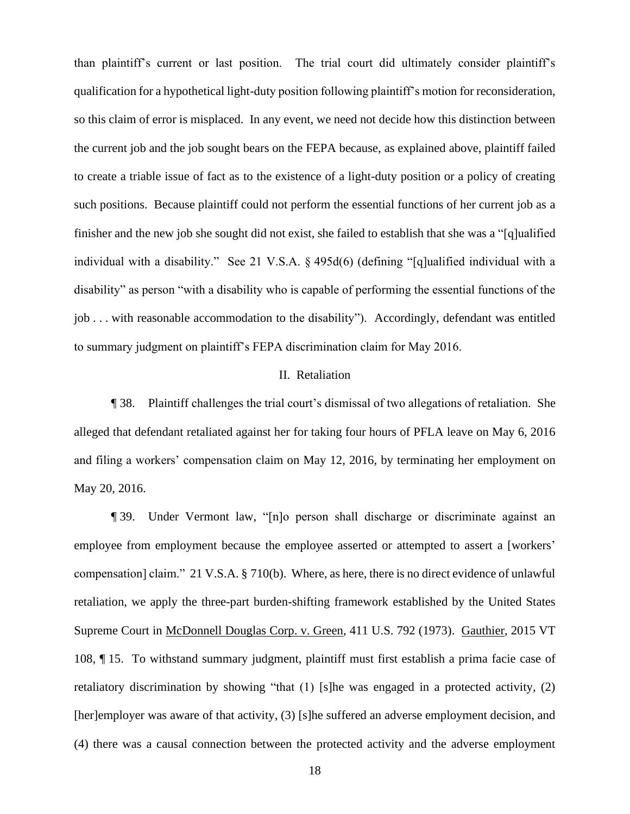than plaintiff's current or last position. The trial court did ultimately consider plaintiff's qualification for a hypothetical light-duty position following plaintiff's motion for reconsideration, so this claim of error is misplaced. In any event, we need not decide how this distinction between the current job and the job sought bears on the FEPA because, as explained above, plaintiff failed to create a triable issue of fact as to the existence of a light-duty position or a policy of creating such positions. Because plaintiff could not perform the essential functions of her current job as a finisher and the new job she sought did not exist, she failed to establish that she was a "[q]ualified individual with a disability." See 21 V.S.A. § 495d(6) (defining "[q]ualified individual with a disability" as person "with a disability who is capable of performing the essential functions of the job . . . with reasonable accommodation to the disability"). Accordingly, defendant was entitled to summary judgment on plaintiff's FEPA discrimination claim for May 2016.

### II. Retaliation

¶ 38. Plaintiff challenges the trial court's dismissal of two allegations of retaliation. She alleged that defendant retaliated against her for taking four hours of PFLA leave on May 6, 2016 and filing a workers' compensation claim on May 12, 2016, by terminating her employment on May 20, 2016.

¶ 39. Under Vermont law, "[n]o person shall discharge or discriminate against an employee from employment because the employee asserted or attempted to assert a [workers' compensation] claim." 21 V.S.A. § 710(b). Where, as here, there is no direct evidence of unlawful retaliation, we apply the three-part burden-shifting framework established by the United States Supreme Court in McDonnell Douglas Corp. v. Green, 411 U.S. 792 (1973). Gauthier, 2015 VT 108, ¶ 15. To withstand summary judgment, plaintiff must first establish a prima facie case of retaliatory discrimination by showing "that (1) [s]he was engaged in a protected activity, (2) [her]employer was aware of that activity, (3) [s]he suffered an adverse employment decision, and (4) there was a causal connection between the protected activity and the adverse employment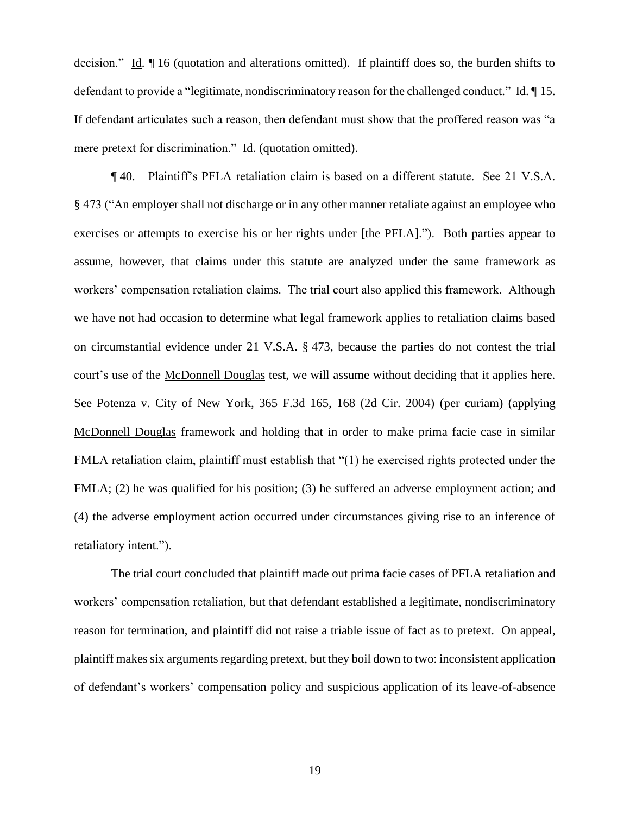decision." Id. ¶ 16 (quotation and alterations omitted). If plaintiff does so, the burden shifts to defendant to provide a "legitimate, nondiscriminatory reason for the challenged conduct." Id. ¶ 15. If defendant articulates such a reason, then defendant must show that the proffered reason was "a mere pretext for discrimination." Id. (quotation omitted).

¶ 40. Plaintiff's PFLA retaliation claim is based on a different statute. See 21 V.S.A. § 473 ("An employer shall not discharge or in any other manner retaliate against an employee who exercises or attempts to exercise his or her rights under [the PFLA]."). Both parties appear to assume, however, that claims under this statute are analyzed under the same framework as workers' compensation retaliation claims. The trial court also applied this framework. Although we have not had occasion to determine what legal framework applies to retaliation claims based on circumstantial evidence under 21 V.S.A. § 473, because the parties do not contest the trial court's use of the McDonnell Douglas test, we will assume without deciding that it applies here. See Potenza v. City of New York, 365 F.3d 165, 168 (2d Cir. 2004) (per curiam) (applying McDonnell Douglas framework and holding that in order to make prima facie case in similar FMLA retaliation claim, plaintiff must establish that "(1) he exercised rights protected under the FMLA; (2) he was qualified for his position; (3) he suffered an adverse employment action; and (4) the adverse employment action occurred under circumstances giving rise to an inference of retaliatory intent.").

The trial court concluded that plaintiff made out prima facie cases of PFLA retaliation and workers' compensation retaliation, but that defendant established a legitimate, nondiscriminatory reason for termination, and plaintiff did not raise a triable issue of fact as to pretext. On appeal, plaintiff makes six arguments regarding pretext, but they boil down to two: inconsistent application of defendant's workers' compensation policy and suspicious application of its leave-of-absence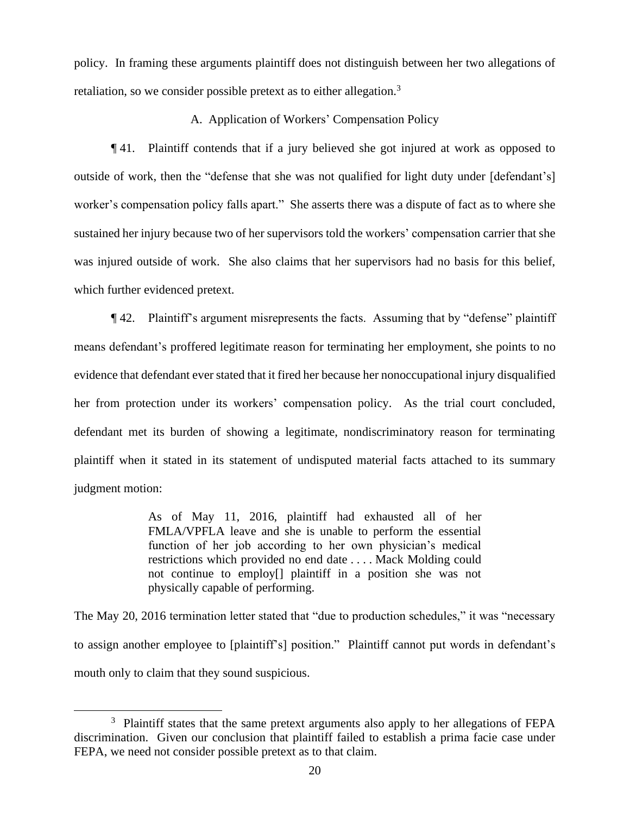policy. In framing these arguments plaintiff does not distinguish between her two allegations of retaliation, so we consider possible pretext as to either allegation.<sup>3</sup>

# A. Application of Workers' Compensation Policy

¶ 41. Plaintiff contends that if a jury believed she got injured at work as opposed to outside of work, then the "defense that she was not qualified for light duty under [defendant's] worker's compensation policy falls apart." She asserts there was a dispute of fact as to where she sustained her injury because two of her supervisors told the workers' compensation carrier that she was injured outside of work. She also claims that her supervisors had no basis for this belief, which further evidenced pretext.

¶ 42. Plaintiff's argument misrepresents the facts. Assuming that by "defense" plaintiff means defendant's proffered legitimate reason for terminating her employment, she points to no evidence that defendant ever stated that it fired her because her nonoccupational injury disqualified her from protection under its workers' compensation policy. As the trial court concluded, defendant met its burden of showing a legitimate, nondiscriminatory reason for terminating plaintiff when it stated in its statement of undisputed material facts attached to its summary judgment motion:

> As of May 11, 2016, plaintiff had exhausted all of her FMLA/VPFLA leave and she is unable to perform the essential function of her job according to her own physician's medical restrictions which provided no end date . . . . Mack Molding could not continue to employ[] plaintiff in a position she was not physically capable of performing.

The May 20, 2016 termination letter stated that "due to production schedules," it was "necessary to assign another employee to [plaintiff's] position." Plaintiff cannot put words in defendant's mouth only to claim that they sound suspicious.

<sup>&</sup>lt;sup>3</sup> Plaintiff states that the same pretext arguments also apply to her allegations of FEPA discrimination. Given our conclusion that plaintiff failed to establish a prima facie case under FEPA, we need not consider possible pretext as to that claim.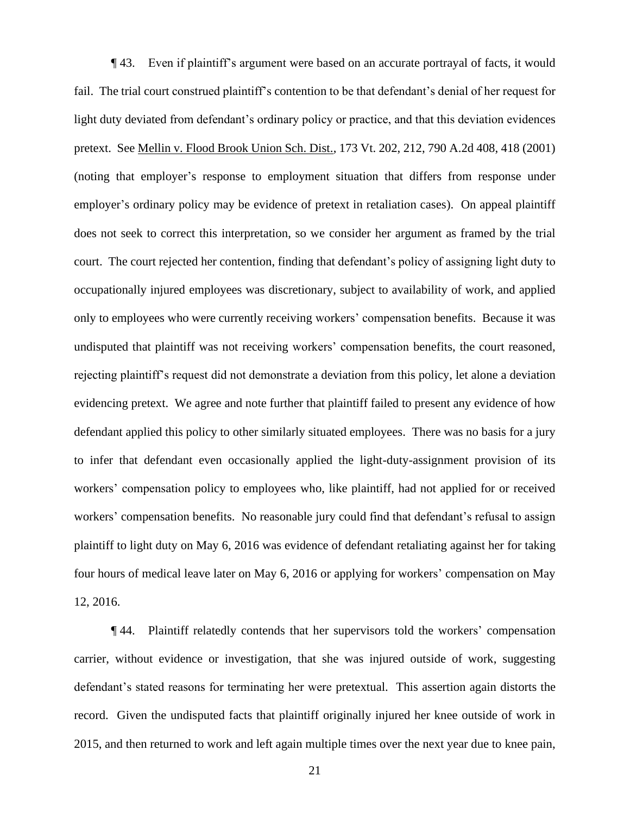¶ 43. Even if plaintiff's argument were based on an accurate portrayal of facts, it would fail. The trial court construed plaintiff's contention to be that defendant's denial of her request for light duty deviated from defendant's ordinary policy or practice, and that this deviation evidences pretext. See Mellin v. Flood Brook Union Sch. Dist., 173 Vt. 202, 212, 790 A.2d 408, 418 (2001) (noting that employer's response to employment situation that differs from response under employer's ordinary policy may be evidence of pretext in retaliation cases). On appeal plaintiff does not seek to correct this interpretation, so we consider her argument as framed by the trial court. The court rejected her contention, finding that defendant's policy of assigning light duty to occupationally injured employees was discretionary, subject to availability of work, and applied only to employees who were currently receiving workers' compensation benefits. Because it was undisputed that plaintiff was not receiving workers' compensation benefits, the court reasoned, rejecting plaintiff's request did not demonstrate a deviation from this policy, let alone a deviation evidencing pretext. We agree and note further that plaintiff failed to present any evidence of how defendant applied this policy to other similarly situated employees. There was no basis for a jury to infer that defendant even occasionally applied the light-duty-assignment provision of its workers' compensation policy to employees who, like plaintiff, had not applied for or received workers' compensation benefits. No reasonable jury could find that defendant's refusal to assign plaintiff to light duty on May 6, 2016 was evidence of defendant retaliating against her for taking four hours of medical leave later on May 6, 2016 or applying for workers' compensation on May 12, 2016.

¶ 44. Plaintiff relatedly contends that her supervisors told the workers' compensation carrier, without evidence or investigation, that she was injured outside of work, suggesting defendant's stated reasons for terminating her were pretextual. This assertion again distorts the record. Given the undisputed facts that plaintiff originally injured her knee outside of work in 2015, and then returned to work and left again multiple times over the next year due to knee pain,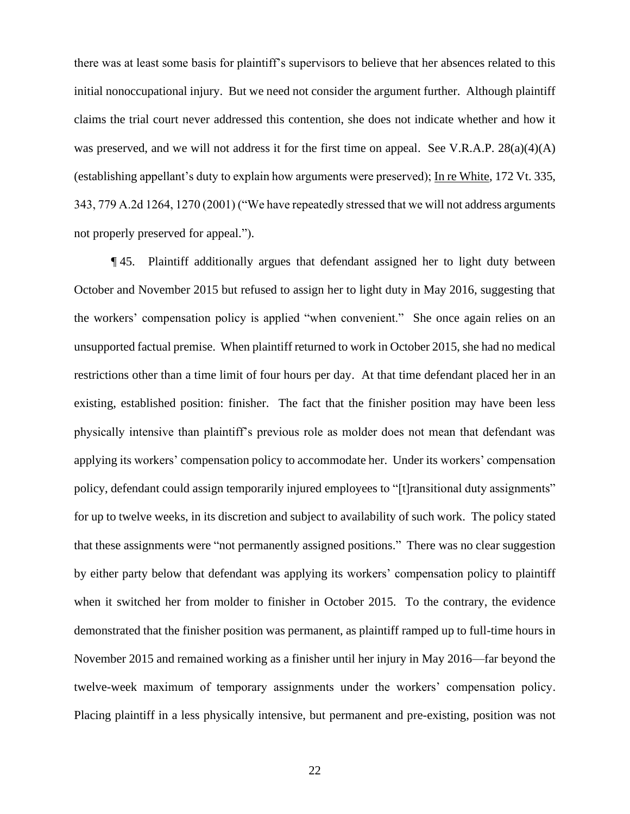there was at least some basis for plaintiff's supervisors to believe that her absences related to this initial nonoccupational injury. But we need not consider the argument further. Although plaintiff claims the trial court never addressed this contention, she does not indicate whether and how it was preserved, and we will not address it for the first time on appeal. See V.R.A.P. 28(a)(4)(A) (establishing appellant's duty to explain how arguments were preserved); In re White, 172 Vt. 335, 343, 779 A.2d 1264, 1270 (2001) ("We have repeatedly stressed that we will not address arguments not properly preserved for appeal.").

¶ 45. Plaintiff additionally argues that defendant assigned her to light duty between October and November 2015 but refused to assign her to light duty in May 2016, suggesting that the workers' compensation policy is applied "when convenient." She once again relies on an unsupported factual premise. When plaintiff returned to work in October 2015, she had no medical restrictions other than a time limit of four hours per day. At that time defendant placed her in an existing, established position: finisher. The fact that the finisher position may have been less physically intensive than plaintiff's previous role as molder does not mean that defendant was applying its workers' compensation policy to accommodate her. Under its workers' compensation policy, defendant could assign temporarily injured employees to "[t]ransitional duty assignments" for up to twelve weeks, in its discretion and subject to availability of such work. The policy stated that these assignments were "not permanently assigned positions." There was no clear suggestion by either party below that defendant was applying its workers' compensation policy to plaintiff when it switched her from molder to finisher in October 2015. To the contrary, the evidence demonstrated that the finisher position was permanent, as plaintiff ramped up to full-time hours in November 2015 and remained working as a finisher until her injury in May 2016—far beyond the twelve-week maximum of temporary assignments under the workers' compensation policy. Placing plaintiff in a less physically intensive, but permanent and pre-existing, position was not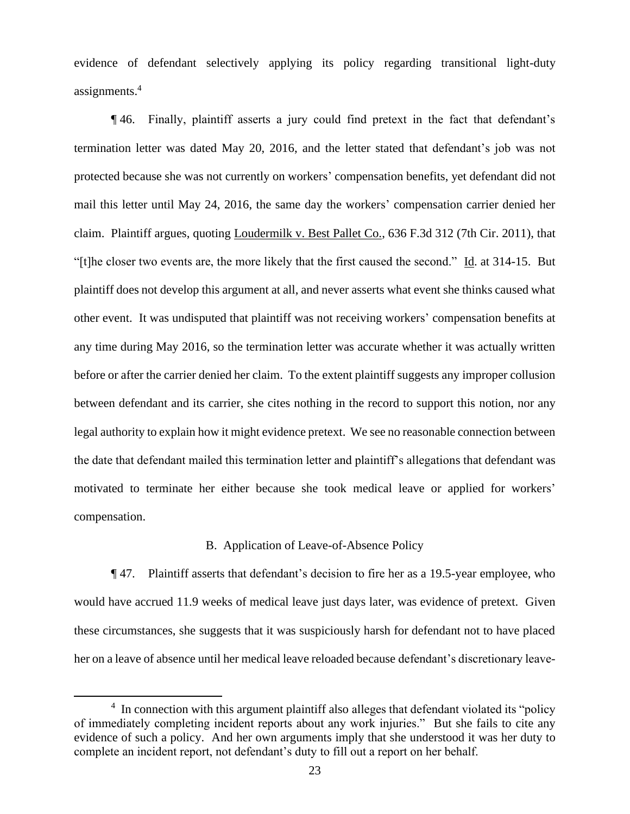evidence of defendant selectively applying its policy regarding transitional light-duty assignments.<sup>4</sup>

¶ 46. Finally, plaintiff asserts a jury could find pretext in the fact that defendant's termination letter was dated May 20, 2016, and the letter stated that defendant's job was not protected because she was not currently on workers' compensation benefits, yet defendant did not mail this letter until May 24, 2016, the same day the workers' compensation carrier denied her claim. Plaintiff argues, quoting Loudermilk v. Best Pallet Co., 636 F.3d 312 (7th Cir. 2011), that "[t]he closer two events are, the more likely that the first caused the second." Id. at 314-15. But plaintiff does not develop this argument at all, and never asserts what event she thinks caused what other event. It was undisputed that plaintiff was not receiving workers' compensation benefits at any time during May 2016, so the termination letter was accurate whether it was actually written before or after the carrier denied her claim. To the extent plaintiff suggests any improper collusion between defendant and its carrier, she cites nothing in the record to support this notion, nor any legal authority to explain how it might evidence pretext. We see no reasonable connection between the date that defendant mailed this termination letter and plaintiff's allegations that defendant was motivated to terminate her either because she took medical leave or applied for workers' compensation.

### B. Application of Leave-of-Absence Policy

¶ 47. Plaintiff asserts that defendant's decision to fire her as a 19.5-year employee, who would have accrued 11.9 weeks of medical leave just days later, was evidence of pretext. Given these circumstances, she suggests that it was suspiciously harsh for defendant not to have placed her on a leave of absence until her medical leave reloaded because defendant's discretionary leave-

<sup>&</sup>lt;sup>4</sup> In connection with this argument plaintiff also alleges that defendant violated its "policy of immediately completing incident reports about any work injuries." But she fails to cite any evidence of such a policy. And her own arguments imply that she understood it was her duty to complete an incident report, not defendant's duty to fill out a report on her behalf.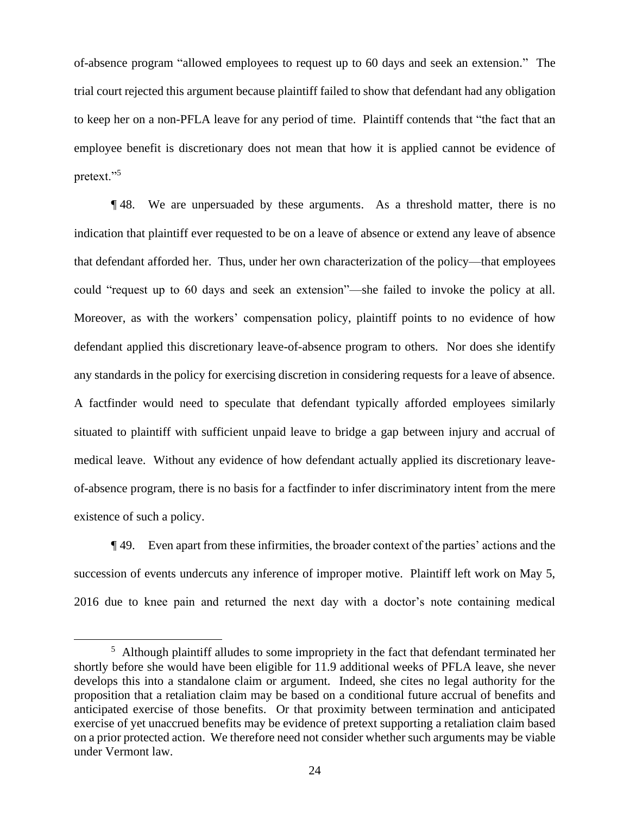of-absence program "allowed employees to request up to 60 days and seek an extension." The trial court rejected this argument because plaintiff failed to show that defendant had any obligation to keep her on a non-PFLA leave for any period of time. Plaintiff contends that "the fact that an employee benefit is discretionary does not mean that how it is applied cannot be evidence of pretext."<sup>5</sup>

¶ 48. We are unpersuaded by these arguments. As a threshold matter, there is no indication that plaintiff ever requested to be on a leave of absence or extend any leave of absence that defendant afforded her. Thus, under her own characterization of the policy—that employees could "request up to 60 days and seek an extension"—she failed to invoke the policy at all. Moreover, as with the workers' compensation policy, plaintiff points to no evidence of how defendant applied this discretionary leave-of-absence program to others. Nor does she identify any standards in the policy for exercising discretion in considering requests for a leave of absence. A factfinder would need to speculate that defendant typically afforded employees similarly situated to plaintiff with sufficient unpaid leave to bridge a gap between injury and accrual of medical leave. Without any evidence of how defendant actually applied its discretionary leaveof-absence program, there is no basis for a factfinder to infer discriminatory intent from the mere existence of such a policy.

¶ 49. Even apart from these infirmities, the broader context of the parties' actions and the succession of events undercuts any inference of improper motive. Plaintiff left work on May 5, 2016 due to knee pain and returned the next day with a doctor's note containing medical

<sup>&</sup>lt;sup>5</sup> Although plaintiff alludes to some impropriety in the fact that defendant terminated her shortly before she would have been eligible for 11.9 additional weeks of PFLA leave, she never develops this into a standalone claim or argument. Indeed, she cites no legal authority for the proposition that a retaliation claim may be based on a conditional future accrual of benefits and anticipated exercise of those benefits. Or that proximity between termination and anticipated exercise of yet unaccrued benefits may be evidence of pretext supporting a retaliation claim based on a prior protected action. We therefore need not consider whether such arguments may be viable under Vermont law.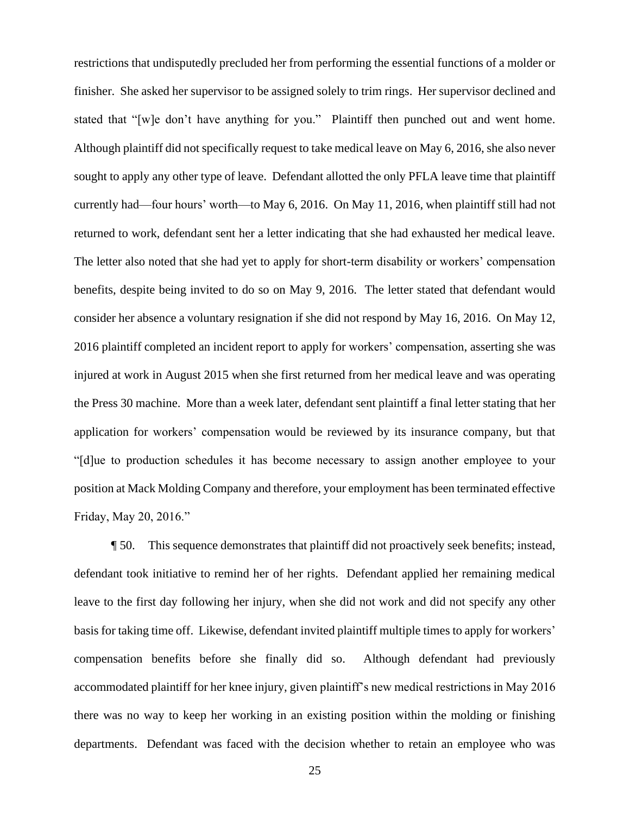restrictions that undisputedly precluded her from performing the essential functions of a molder or finisher. She asked her supervisor to be assigned solely to trim rings. Her supervisor declined and stated that "[w]e don't have anything for you." Plaintiff then punched out and went home. Although plaintiff did not specifically request to take medical leave on May 6, 2016, she also never sought to apply any other type of leave. Defendant allotted the only PFLA leave time that plaintiff currently had—four hours' worth—to May 6, 2016. On May 11, 2016, when plaintiff still had not returned to work, defendant sent her a letter indicating that she had exhausted her medical leave. The letter also noted that she had yet to apply for short-term disability or workers' compensation benefits, despite being invited to do so on May 9, 2016. The letter stated that defendant would consider her absence a voluntary resignation if she did not respond by May 16, 2016. On May 12, 2016 plaintiff completed an incident report to apply for workers' compensation, asserting she was injured at work in August 2015 when she first returned from her medical leave and was operating the Press 30 machine. More than a week later, defendant sent plaintiff a final letter stating that her application for workers' compensation would be reviewed by its insurance company, but that "[d]ue to production schedules it has become necessary to assign another employee to your position at Mack Molding Company and therefore, your employment has been terminated effective Friday, May 20, 2016."

¶ 50. This sequence demonstrates that plaintiff did not proactively seek benefits; instead, defendant took initiative to remind her of her rights. Defendant applied her remaining medical leave to the first day following her injury, when she did not work and did not specify any other basis for taking time off. Likewise, defendant invited plaintiff multiple times to apply for workers' compensation benefits before she finally did so. Although defendant had previously accommodated plaintiff for her knee injury, given plaintiff's new medical restrictions in May 2016 there was no way to keep her working in an existing position within the molding or finishing departments. Defendant was faced with the decision whether to retain an employee who was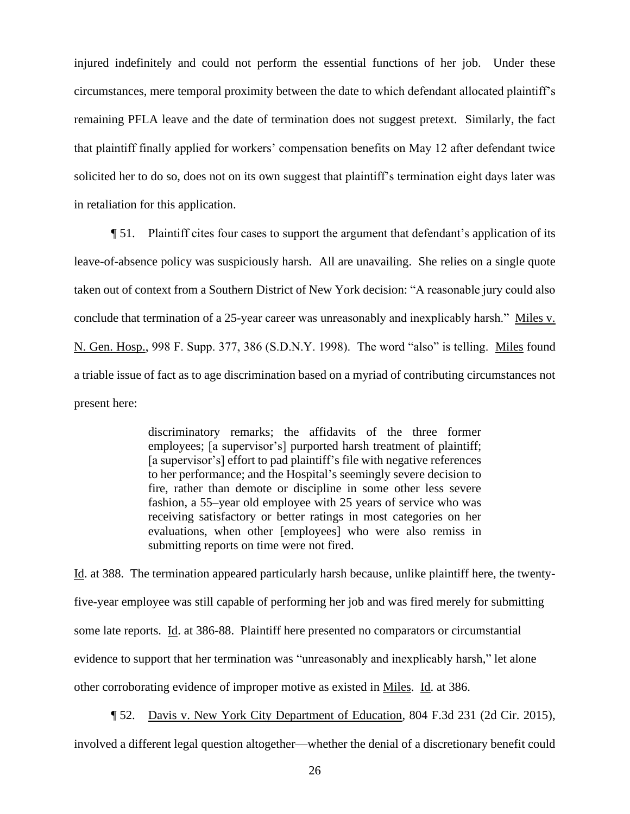injured indefinitely and could not perform the essential functions of her job. Under these circumstances, mere temporal proximity between the date to which defendant allocated plaintiff's remaining PFLA leave and the date of termination does not suggest pretext. Similarly, the fact that plaintiff finally applied for workers' compensation benefits on May 12 after defendant twice solicited her to do so, does not on its own suggest that plaintiff's termination eight days later was in retaliation for this application.

¶ 51. Plaintiff cites four cases to support the argument that defendant's application of its leave-of-absence policy was suspiciously harsh. All are unavailing. She relies on a single quote taken out of context from a Southern District of New York decision: "A reasonable jury could also conclude that termination of a 25-year career was unreasonably and inexplicably harsh." Miles v. N. Gen. Hosp., 998 F. Supp. 377, 386 (S.D.N.Y. 1998). The word "also" is telling. Miles found a triable issue of fact as to age discrimination based on a myriad of contributing circumstances not present here:

> discriminatory remarks; the affidavits of the three former employees; [a supervisor's] purported harsh treatment of plaintiff; [a supervisor's] effort to pad plaintiff's file with negative references to her performance; and the Hospital's seemingly severe decision to fire, rather than demote or discipline in some other less severe fashion, a 55–year old employee with 25 years of service who was receiving satisfactory or better ratings in most categories on her evaluations, when other [employees] who were also remiss in submitting reports on time were not fired.

Id. at 388. The termination appeared particularly harsh because, unlike plaintiff here, the twentyfive-year employee was still capable of performing her job and was fired merely for submitting some late reports. Id. at 386-88. Plaintiff here presented no comparators or circumstantial evidence to support that her termination was "unreasonably and inexplicably harsh," let alone other corroborating evidence of improper motive as existed in Miles. Id. at 386.

¶ 52. Davis v. New York City Department of Education, 804 F.3d 231 (2d Cir. 2015), involved a different legal question altogether—whether the denial of a discretionary benefit could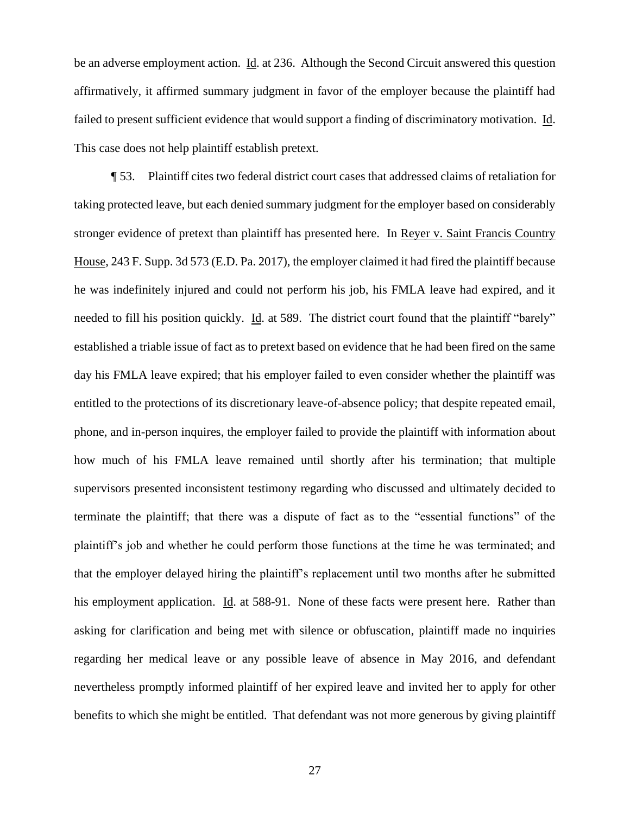be an adverse employment action. Id. at 236. Although the Second Circuit answered this question affirmatively, it affirmed summary judgment in favor of the employer because the plaintiff had failed to present sufficient evidence that would support a finding of discriminatory motivation. Id. This case does not help plaintiff establish pretext.

¶ 53. Plaintiff cites two federal district court cases that addressed claims of retaliation for taking protected leave, but each denied summary judgment for the employer based on considerably stronger evidence of pretext than plaintiff has presented here. In Reyer v. Saint Francis Country House, 243 F. Supp. 3d 573 (E.D. Pa. 2017), the employer claimed it had fired the plaintiff because he was indefinitely injured and could not perform his job, his FMLA leave had expired, and it needed to fill his position quickly. Id. at 589. The district court found that the plaintiff "barely" established a triable issue of fact as to pretext based on evidence that he had been fired on the same day his FMLA leave expired; that his employer failed to even consider whether the plaintiff was entitled to the protections of its discretionary leave-of-absence policy; that despite repeated email, phone, and in-person inquires, the employer failed to provide the plaintiff with information about how much of his FMLA leave remained until shortly after his termination; that multiple supervisors presented inconsistent testimony regarding who discussed and ultimately decided to terminate the plaintiff; that there was a dispute of fact as to the "essential functions" of the plaintiff's job and whether he could perform those functions at the time he was terminated; and that the employer delayed hiring the plaintiff's replacement until two months after he submitted his employment application. Id. at 588-91. None of these facts were present here. Rather than asking for clarification and being met with silence or obfuscation, plaintiff made no inquiries regarding her medical leave or any possible leave of absence in May 2016, and defendant nevertheless promptly informed plaintiff of her expired leave and invited her to apply for other benefits to which she might be entitled. That defendant was not more generous by giving plaintiff